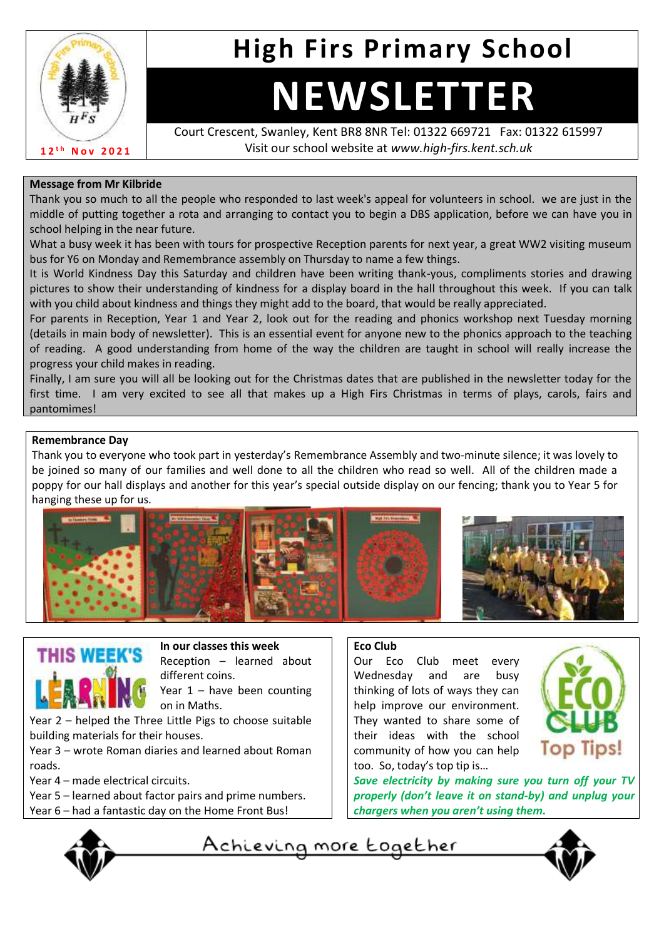

## **High Firs Primary School**

# **NEWSLETTER**

Court Crescent, Swanley, Kent BR8 8NR Tel: 01322 669721 Fax: 01322 615997 Visit our school website at *www.high-firs.kent.sch.uk*

#### **Message from Mr Kilbride**

Thank you so much to all the people who responded to last week's appeal for volunteers in school. we are just in the middle of putting together a rota and arranging to contact you to begin a DBS application, before we can have you in school helping in the near future.

What a busy week it has been with tours for prospective Reception parents for next year, a great WW2 visiting museum bus for Y6 on Monday and Remembrance assembly on Thursday to name a few things.

It is World Kindness Day this Saturday and children have been writing thank-yous, compliments stories and drawing pictures to show their understanding of kindness for a display board in the hall throughout this week. If you can talk with you child about kindness and things they might add to the board, that would be really appreciated.

For parents in Reception, Year 1 and Year 2, look out for the reading and phonics workshop next Tuesday morning (details in main body of newsletter). This is an essential event for anyone new to the phonics approach to the teaching of reading. A good understanding from home of the way the children are taught in school will really increase the progress your child makes in reading.

Finally, I am sure you will all be looking out for the Christmas dates that are published in the newsletter today for the first time. I am very excited to see all that makes up a High Firs Christmas in terms of plays, carols, fairs and pantomimes!

#### **Remembrance Day**

Thank you to everyone who took part in yesterday's Remembrance Assembly and two-minute silence; it was lovely to be joined so many of our families and well done to all the children who read so well. All of the children made a poppy for our hall displays and another for this year's special outside display on our fencing; thank you to Year 5 for hanging these up for us.



**THIS WEEK'S** 

**In our classes this week** Reception – learned about different coins.

Year  $1 -$  have been counting on in Maths.

Year 2 – helped the Three Little Pigs to choose suitable building materials for their houses.

Year 3 – wrote Roman diaries and learned about Roman roads.

Year 4 – made electrical circuits.

- Year 5 learned about factor pairs and prime numbers.
- Year 6 had a fantastic day on the Home Front Bus!



### **Eco Club**

Our Eco Club meet every Wednesday and are busy thinking of lots of ways they can help improve our environment. They wanted to share some of their ideas with the school community of how you can help too. So, today's top tip is…



*Save electricity by making sure you turn off your TV properly (don't leave it on stand-by) and unplug your chargers when you aren't using them.*

<u>Achieving more together</u>

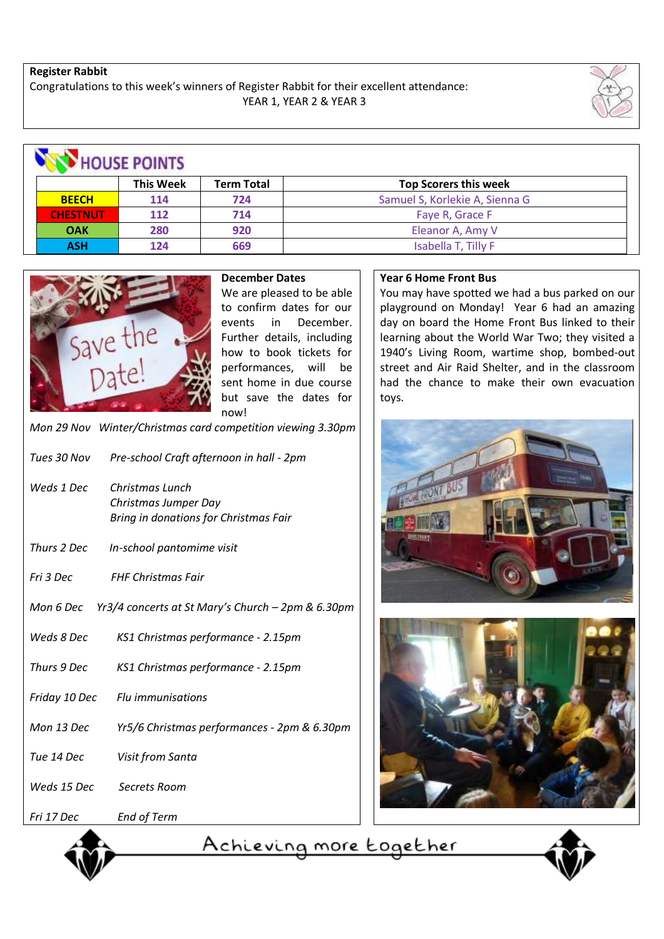#### **Register Rabbit**

Congratulations to this week's winners of Register Rabbit for their excellent attendance: YEAR 1, YEAR 2 & YEAR 3





**December Dates**

We are pleased to be able to confirm dates for our events in December. Further details, including how to book tickets for performances, will be sent home in due course but save the dates for now!

*Mon 29 Nov Winter/Christmas card competition viewing 3.30pm* 

| Tues 30 Nov   | Pre-school Craft afternoon in hall - 2pm                                         |
|---------------|----------------------------------------------------------------------------------|
| Weds 1 Dec    | Christmas Lunch<br>Christmas Jumper Day<br>Bring in donations for Christmas Fair |
| Thurs 2 Dec   | In-school pantomime visit                                                        |
| Fri 3 Dec     | <b>FHF Christmas Fair</b>                                                        |
|               | Mon 6 Dec $Yr3/4$ concerts at St Mary's Church $-2$ pm & 6.30pm                  |
| Weds 8 Dec    | KS1 Christmas performance - 2.15pm                                               |
| Thurs 9 Dec   | KS1 Christmas performance - 2.15pm                                               |
| Friday 10 Dec | Flu immunisations                                                                |
| Mon 13 Dec    | Yr5/6 Christmas performances - 2pm & 6.30pm                                      |
| Tue 14 Dec    | Visit from Santa                                                                 |
| Weds 15 Dec   | Secrets Room                                                                     |

#### *Fri 17 Dec End of Term*

Achieving more together

#### **Year 6 Home Front Bus**

You may have spotted we had a bus parked on our playground on Monday! Year 6 had an amazing day on board the Home Front Bus linked to their learning about the World War Two; they visited a 1940's Living Room, wartime shop, bombed-out street and Air Raid Shelter, and in the classroom had the chance to make their own evacuation toys.